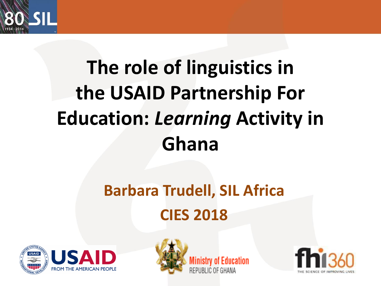

# **The role of linguistics in the USAID Partnership For Education:** *Learning* **Activity in Ghana**

## **Barbara Trudell, SIL Africa CIES 2018**





Ministry of Education REPUBLIC OF GHANA

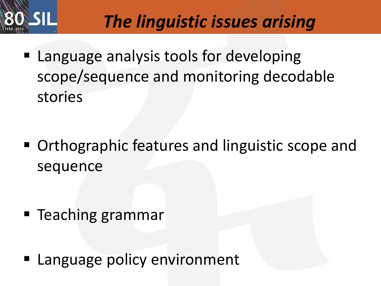

## *The linguistic issues arising*

**E.** Language analysis tools for developing scope/sequence and monitoring decodable stories

■ Orthographic features and linguistic scope and sequence

- Teaching grammar
- Language policy environment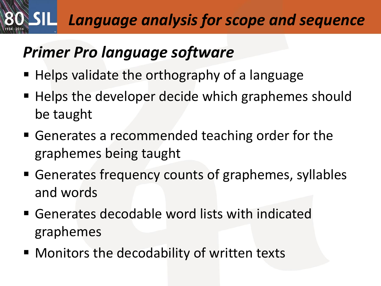## *Language analysis for scope and sequence*

#### *Primer Pro language software*

- Helps validate the orthography of a language
- Helps the developer decide which graphemes should be taught
- Generates a recommended teaching order for the graphemes being taught
- Generates frequency counts of graphemes, syllables and words
- Generates decodable word lists with indicated graphemes
- Monitors the decodability of written texts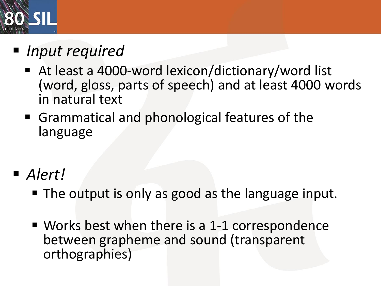

- *Input required* 
	- At least a 4000-word lexicon/dictionary/word list (word, gloss, parts of speech) and at least 4000 words in natural text
	- Grammatical and phonological features of the language
- *Alert!* 
	- The output is only as good as the language input.
	- $\blacksquare$  Works best when there is a 1-1 correspondence between grapheme and sound (transparent orthographies)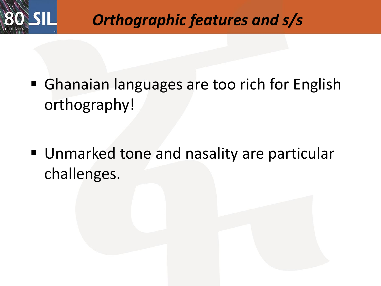

#### *Orthographic features and s/s*

**• Ghanaian languages are too rich for English** orthography!

■ Unmarked tone and nasality are particular challenges.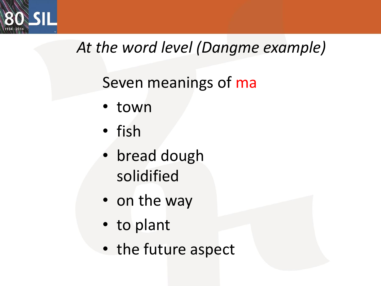

### *At the word level (Dangme example)*

### Seven meanings of ma

- town
- fish
- bread dough solidified
- on the way
- to plant
- the future aspect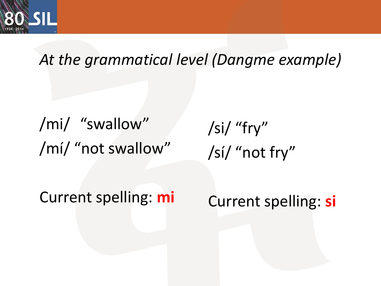

#### *At the grammatical level (Dangme example)*

/mi/ "swallow" /mí/ "not swallow"

/si/ "fry" /sí/ "not fry"

Current spelling: **mi**

Current spelling: **si**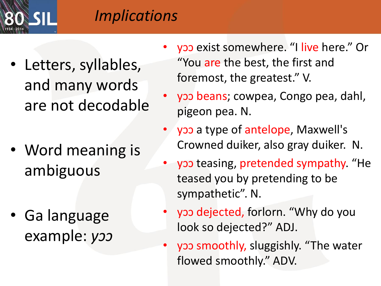

#### *Implications*

- Letters, syllables, and many words are not decodable
- Word meaning is ambiguous
- Ga language example: *yɔɔ*
- yop exist somewhere. "I live here." Or "You are the best, the first and foremost, the greatest." V.
- yɔɔ beans; cowpea, Congo pea, dahl, pigeon pea. N.
- yɔɔ a type of antelope, Maxwell's Crowned duiker, also gray duiker. N.
- yoo teasing, pretended sympathy. "He teased you by pretending to be sympathetic". N.
	- yɔɔ dejected, forlorn. "Why do you look so dejected?" ADJ.
- yɔɔ smoothly, sluggishly. "The water flowed smoothly." ADV.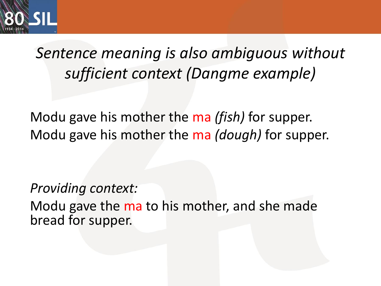

*Sentence meaning is also ambiguous without sufficient context (Dangme example)*

Modu gave his mother the ma *(fish)* for supper. Modu gave his mother the ma *(dough)* for supper.

*Providing context:*

Modu gave the ma to his mother, and she made bread for supper.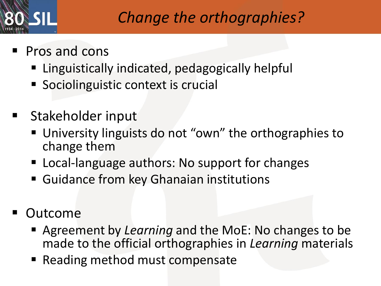

#### *Change the orthographies?*

- Pros and cons
	- Linguistically indicated, pedagogically helpful
	- Sociolinguistic context is crucial
- Stakeholder input
	- University linguists do not "own" the orthographies to change them
	- Local-language authors: No support for changes
	- Guidance from key Ghanaian institutions
- **Outcome** 
	- Agreement by *Learning* and the MoE: No changes to be made to the official orthographies in *Learning* materials
	- Reading method must compensate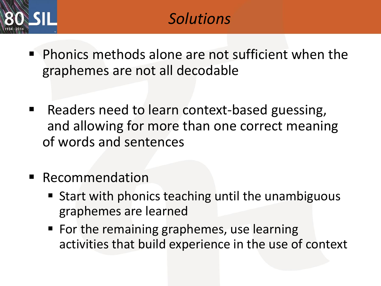

- Phonics methods alone are not sufficient when the graphemes are not all decodable
- Readers need to learn context-based guessing, and allowing for more than one correct meaning of words and sentences
- **Recommendation** 
	- Start with phonics teaching until the unambiguous graphemes are learned
	- For the remaining graphemes, use learning activities that build experience in the use of context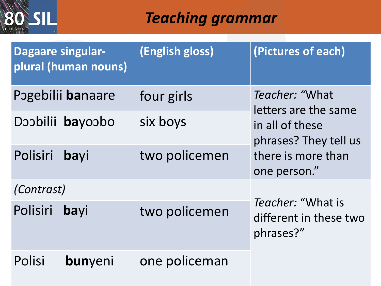

#### *Teaching grammar*

| <b>Dagaare singular-</b><br>plural (human nouns) |  | (English gloss) | (Pictures of each)                                       |  |
|--------------------------------------------------|--|-----------------|----------------------------------------------------------|--|
| Pogebilii banaare                                |  | four girls      | Teacher: "What<br>letters are the same                   |  |
| Doobilii bayoobo                                 |  | six boys        | in all of these<br>phrases? They tell us                 |  |
| Polisiri<br>bayi                                 |  | two policemen   | there is more than<br>one person."                       |  |
| (Contrast)                                       |  |                 |                                                          |  |
| Polisiri<br>bayi                                 |  | two policemen   | Teacher: "What is<br>different in these two<br>phrases?" |  |
| <b>Polisi</b><br>bunyeni                         |  | one policeman   |                                                          |  |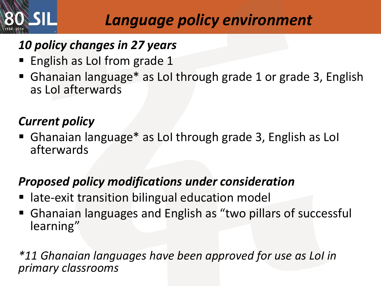

#### *Language policy environment*

#### *10 policy changes in 27 years*

- English as LoI from grade 1
- Ghanaian language\* as LoI through grade 1 or grade 3, English as LoI afterwards

#### *Current policy*

■ Ghanaian language\* as LoI through grade 3, English as LoI afterwards

#### *Proposed policy modifications under consideration*

- late-exit transition bilingual education model
- Ghanaian languages and English as "two pillars of successful learning"

*\*11 Ghanaian languages have been approved for use as LoI in primary classrooms*